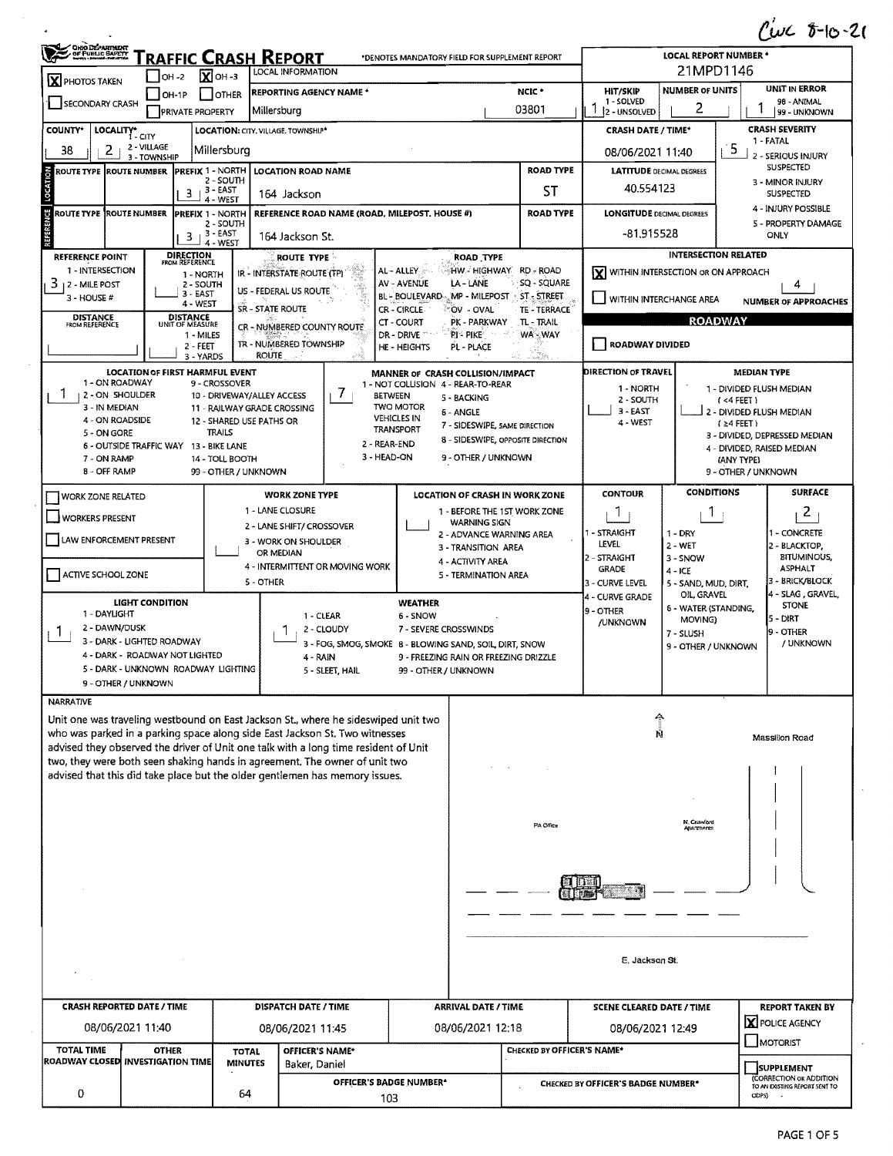$C\omega C$  8-10-21

|                                                           | OHODEARTHEAT<br>RAFFIC CRASH REPORT<br>*DENOTES MANDATORY FIELD FOR SUPPLEMENT REPORT<br>LOCAL INFORMATION |                                                           |                                                                                                                                                                    |                                                                |                                                                |                         | LOCAL REPORT NUMBER *<br>21MPD1146                                    |                                                                   |                                   |                                                             |
|-----------------------------------------------------------|------------------------------------------------------------------------------------------------------------|-----------------------------------------------------------|--------------------------------------------------------------------------------------------------------------------------------------------------------------------|----------------------------------------------------------------|----------------------------------------------------------------|-------------------------|-----------------------------------------------------------------------|-------------------------------------------------------------------|-----------------------------------|-------------------------------------------------------------|
| $\mathbf X$ PHOTOS TAKEN                                  | $IOH - 2$                                                                                                  | $\overline{\mathbf{X}}$ OH -3                             |                                                                                                                                                                    |                                                                |                                                                |                         | UNIT IN ERROR<br><b>NUMBER OF UNITS</b>                               |                                                                   |                                   |                                                             |
| <b>SECONDARY CRASH</b>                                    | OH-1P<br><b>PRIVATE PROPERTY</b>                                                                           | <b>OTHER</b>                                              | NCIC <sup>+</sup><br><b>REPORTING AGENCY NAME *</b><br>03801<br> Millersburq                                                                                       |                                                                |                                                                |                         | <b>HIT/SKIP</b><br>1 - SOLVED<br>2 - UNSOLVED                         | 2                                                                 |                                   | 98 - ANIMAL<br>99 - UNKNOWN                                 |
| <b>COUNTY*</b>                                            | LOCALITY* CITY<br>LOCATION: CITY, VILLAGE, TOWNSHIP*                                                       |                                                           |                                                                                                                                                                    |                                                                |                                                                |                         | <b>CRASH DATE / TIME*</b>                                             |                                                                   |                                   | <b>CRASH SEVERITY</b>                                       |
| 2 - VILLAGE<br>2<br>38<br>Millersburg<br>3 - TOWNSHIP     |                                                                                                            |                                                           |                                                                                                                                                                    |                                                                |                                                                |                         | 1 - FATAL<br>5<br>08/06/2021 11:40                                    |                                                                   |                                   | 2 - SERIOUS INJURY                                          |
| ă<br><b>ROUTE TYPE ROUTE NUMBER</b>                       | <b>PREFIX 1 - NORTH</b>                                                                                    | 2 - SOUTH                                                 | LOCATION ROAD NAME                                                                                                                                                 |                                                                |                                                                | <b>ROAD TYPE</b>        | <b>LATITUDE DECIMAL DEGREES</b>                                       |                                                                   |                                   | SUSPECTED<br>3 - MINOR INJURY                               |
| LOCATI                                                    | 3                                                                                                          | $13 - EAST$<br>4 - WEST                                   | 164 Jackson                                                                                                                                                        |                                                                |                                                                | <b>ST</b>               | 40.554123                                                             |                                                                   |                                   | <b>SUSPECTED</b>                                            |
| ŀ,<br>ROUTE TYPE ROUTE NUMBER                             | <b>PREFIX 1 - NORTH</b>                                                                                    | 2 - SOUTH                                                 | REFERENCE ROAD NAME (ROAD, MILEPOST, HOUSE #)                                                                                                                      |                                                                |                                                                | <b>ROAD TYPE</b>        | <b>LONGITUDE DECIMAL DEGREES</b>                                      |                                                                   |                                   | 4 - INJURY POSSIBLE<br>5 - PROPERTY DAMAGE                  |
|                                                           | 3                                                                                                          | ,3-EAST<br>4 - WEST                                       | 164 Jackson St.                                                                                                                                                    |                                                                |                                                                |                         | -81,915528                                                            |                                                                   |                                   | ONLY                                                        |
| <b>REFERENCE POINT</b><br>1 - INTERSECTION                | <b>DIRECTION</b><br>FROM REFERENCE<br>1 - NORTH                                                            |                                                           | <b>ROUTE TYPE</b><br>IR - INTERSTATE ROUTE (TP)                                                                                                                    | AL - ALLEY                                                     | ROAD TYPE<br>HW - HIGHWAY RD - ROAD                            |                         | ΙxΙ                                                                   | <b>INTERSECTION RELATED</b><br>WITHIN INTERSECTION OR ON APPROACH |                                   |                                                             |
| 3<br>12 - MILE POST<br>3 - HOUSE #                        | 2 - SOUTH<br>$3 - EAST$                                                                                    |                                                           | US - FEDERAL US ROUTE                                                                                                                                              | <b>AV - AVENUE</b><br>BL - BOULEVARD MP - MILEPOST ST - STREET | LA - LANE                                                      | SQ - SQUARE             |                                                                       |                                                                   |                                   | 4                                                           |
|                                                           | 4 - WEST<br><b>DISTANCE</b>                                                                                | <b>SR - STATE ROUTE</b>                                   |                                                                                                                                                                    | CR - CIRCLE                                                    | OV - OVAL                                                      | TE - TERRACE            | VITHIN INTERCHANGE AREA                                               |                                                                   |                                   | <b>NUMBER OF APPROACHES</b>                                 |
| <b>DISTANCE</b><br>FROM REFERENCE                         | UNIT OF MEASURE<br>1 - MILES                                                                               |                                                           | CR - NUMBERED COUNTY ROUTE                                                                                                                                         | CT - COURT<br>DR-DRIVE                                         | PK - PARKWAY<br>PI-PIKE                                        | .TL - TRAIL<br>WA - WAY | <b>ROADWAY</b>                                                        |                                                                   |                                   |                                                             |
|                                                           | $2 - FEET$<br>3 - YARDS                                                                                    | <b>ROUTE</b>                                              | TR - NUMBERED TOWNSHIP                                                                                                                                             | HE - HEIGHTS                                                   | PL - PLACE                                                     |                         | ROADWAY DIVIDED                                                       |                                                                   |                                   |                                                             |
| 1 - ON ROADWAY                                            | <b>LOCATION OF FIRST HARMFUL EVENT</b>                                                                     | 9 - CROSSOVER                                             |                                                                                                                                                                    | MANNER OF CRASH COLLISION/IMPACT                               |                                                                |                         | DIRECTION OF TRAVEL                                                   |                                                                   | <b>MEDIAN TYPE</b>                |                                                             |
| 2 - ON SHOULDER<br>3 - IN MEDIAN                          |                                                                                                            | 10 - DRIVEWAY/ALLEY ACCESS<br>11 - RAILWAY GRADE CROSSING | 1 - NOT COLLISION 4 - REAR-TO-REAR<br>$\prime$<br><b>BETWEEN</b><br>5 - BACKING<br><b>TWO MOTOR</b>                                                                |                                                                |                                                                |                         | 1 - NORTH<br>1 - DIVIDED FLUSH MEDIAN<br>2 - SOUTH<br>$($ <4 FEET $)$ |                                                                   |                                   |                                                             |
| 4 - ON ROADSIDE                                           |                                                                                                            | 12 - SHARED USE PATHS OR                                  | <b>VEHICLES IN</b>                                                                                                                                                 | 6 - ANGLE<br>7 - SIDESWIPE, SAME DIRECTION                     |                                                                | $3 - EAST$<br>4 - WEST  |                                                                       | 2 - DIVIDED FLUSH MEDIAN<br>$(24$ FEET)                           |                                   |                                                             |
| 5 - ON GORE                                               | 6 - OUTSIDE TRAFFIC WAY 13 - BIKE LANE                                                                     | <b>TRAILS</b>                                             |                                                                                                                                                                    | <b>TRANSPORT</b><br>2 - REAR-END                               | 8 - SIDESWIPE, OPPOSITE DIRECTION                              |                         |                                                                       |                                                                   |                                   | 3 - DIVIDED, DEPRESSED MEDIAN<br>4 - DIVIDED, RAISED MEDIAN |
| 7 - ON RAMP<br><b>B - OFF RAMP</b>                        |                                                                                                            | 14 - TOLL BOOTH<br>99 - OTHER / UNKNOWN                   |                                                                                                                                                                    | 3 - HEAD-ON                                                    | 9 - OTHER / UNKNOWN                                            |                         |                                                                       |                                                                   | (ANY TYPE)<br>9 - OTHER / UNKNOWN |                                                             |
| <b>WORK ZONE RELATED</b>                                  |                                                                                                            |                                                           | <b>WORK ZONE TYPE</b>                                                                                                                                              |                                                                | LOCATION OF CRASH IN WORK ZONE                                 |                         | <b>CONTOUR</b>                                                        | <b>CONDITIONS</b>                                                 |                                   | <b>SURFACE</b>                                              |
| WORKERS PRESENT                                           |                                                                                                            |                                                           | 1 - LANE CLOSURE                                                                                                                                                   |                                                                | 1 - BEFORE THE 1ST WORK ZONE<br><b>WARNING SIGN</b>            |                         | 1                                                                     | T                                                                 |                                   | 2                                                           |
| LAW ENFORCEMENT PRESENT                                   |                                                                                                            |                                                           | 2 - LANE SHIFT/ CROSSOVER<br>3 - WORK ON SHOULDER                                                                                                                  |                                                                | 2 - ADVANCE WARNING AREA                                       |                         | 1 - STRAIGHT<br>LEVEL                                                 | $1 - DRY$                                                         |                                   | 1 - CONCRETE                                                |
|                                                           |                                                                                                            |                                                           | OR MEDIAN<br>4 - INTERMITTENT OR MOVING WORK                                                                                                                       |                                                                | 3 - TRANSITION AREA<br>4 - ACTIVITY AREA                       |                         | 2 - STRAIGHT                                                          | $2 - WET$<br>3 - SNOW                                             |                                   | 2 - BLACKTOP,<br><b>BITUMINOUS,</b><br><b>ASPHALT</b>       |
| ACTIVE SCHOOL ZONE                                        |                                                                                                            | 5 - OTHER                                                 |                                                                                                                                                                    |                                                                | 5 - TERMINATION AREA                                           |                         | <b>GRADE</b><br>3 - CURVE LEVEL                                       | $4 - ICE$<br>5 - SAND, MUD, DIRT,                                 |                                   | 3 - BRICK/BLOCK                                             |
| 1 - DAYLIGHT                                              | LIGHT CONDITION                                                                                            |                                                           |                                                                                                                                                                    | <b>WEATHER</b>                                                 |                                                                |                         | 4 - CURVE GRADE<br>9 - OTHER                                          | OIL, GRAVEL<br><b>6 - WATER (STANDING,</b>                        |                                   | 4 - SLAG, GRAVEL,<br><b>STONE</b>                           |
| 2 - DAWN/DUSK<br>$\mathbf{I}$                             |                                                                                                            |                                                           | 1 - CLEAR<br>2 - CLOUDY                                                                                                                                            | 6 - SNOW                                                       | 7 - SEVERE CROSSWINDS                                          |                         |                                                                       | MOVING)<br>7 - SLUSH                                              |                                   | 5 - DIRT<br>9 - OTHER                                       |
|                                                           | 3 - DARK - LIGHTED ROADWAY<br>4 - DARK - ROADWAY NOT LIGHTED                                               |                                                           | 3 - FOG, SMOG, SMOKE 8 - BLOWING SAND, SOIL, DIRT, SNOW<br>9 - FREEZING RAIN OR FREEZING DRIZZLE<br>4 - RAIN                                                       |                                                                |                                                                |                         |                                                                       | 9 - OTHER / UNKNOWN                                               |                                   | / UNKNOWN                                                   |
|                                                           | 5 - DARK - UNKNOWN ROADWAY LIGHTING                                                                        |                                                           | 5 - SLEET, HAIL                                                                                                                                                    | 99 - OTHER / UNKNOWN                                           |                                                                |                         |                                                                       |                                                                   |                                   |                                                             |
| NARRATIVE                                                 | 9 - OTHER / UNKNOWN                                                                                        |                                                           |                                                                                                                                                                    |                                                                |                                                                |                         |                                                                       |                                                                   |                                   |                                                             |
|                                                           |                                                                                                            |                                                           | Unit one was traveling westbound on East Jackson St., where he sideswiped unit two                                                                                 |                                                                |                                                                |                         |                                                                       |                                                                   |                                   |                                                             |
|                                                           |                                                                                                            |                                                           | who was parked in a parking space along side East Jackson St. Two witnesses<br>advised they observed the driver of Unit one talk with a long time resident of Unit |                                                                |                                                                |                         | Ň                                                                     |                                                                   |                                   | Massillon Road                                              |
|                                                           |                                                                                                            |                                                           | two, they were both seen shaking hands in agreement. The owner of unit two<br>advised that this did take place but the older gentlemen has memory issues.          |                                                                |                                                                |                         |                                                                       |                                                                   |                                   |                                                             |
|                                                           |                                                                                                            |                                                           |                                                                                                                                                                    |                                                                |                                                                |                         |                                                                       |                                                                   |                                   |                                                             |
|                                                           |                                                                                                            |                                                           |                                                                                                                                                                    |                                                                |                                                                |                         |                                                                       |                                                                   |                                   |                                                             |
|                                                           |                                                                                                            |                                                           |                                                                                                                                                                    |                                                                |                                                                | PA Office               |                                                                       | N. Crawford<br>namments                                           |                                   |                                                             |
|                                                           |                                                                                                            |                                                           |                                                                                                                                                                    |                                                                |                                                                |                         |                                                                       |                                                                   |                                   |                                                             |
|                                                           |                                                                                                            |                                                           |                                                                                                                                                                    |                                                                |                                                                |                         |                                                                       |                                                                   |                                   |                                                             |
|                                                           |                                                                                                            |                                                           |                                                                                                                                                                    |                                                                |                                                                |                         |                                                                       |                                                                   |                                   |                                                             |
|                                                           |                                                                                                            |                                                           |                                                                                                                                                                    |                                                                |                                                                |                         |                                                                       |                                                                   |                                   |                                                             |
|                                                           |                                                                                                            |                                                           |                                                                                                                                                                    |                                                                |                                                                |                         |                                                                       |                                                                   |                                   |                                                             |
| E. Jackson St.                                            |                                                                                                            |                                                           |                                                                                                                                                                    |                                                                |                                                                |                         |                                                                       |                                                                   |                                   |                                                             |
| <b>CRASH REPORTED DATE / TIME</b><br>DISPATCH DATE / TIME |                                                                                                            |                                                           |                                                                                                                                                                    |                                                                | <b>ARRIVAL DATE / TIME</b><br><b>SCENE CLEARED DATE / TIME</b> |                         |                                                                       | <b>REPORT TAKEN BY</b>                                            |                                   |                                                             |
| 08/06/2021 11:40                                          |                                                                                                            |                                                           | 08/06/2021 11:45                                                                                                                                                   |                                                                | 08/06/2021 12:18                                               |                         | 08/06/2021 12:49                                                      |                                                                   |                                   | X POLICE AGENCY                                             |
| <b>TOTAL TIME</b><br><b>OTHER</b><br><b>TOTAL</b>         |                                                                                                            |                                                           | OFFICER'S NAME*                                                                                                                                                    | <b>CHECKED BY OFFICER'S NAME*</b>                              |                                                                |                         | MOTORIST                                                              |                                                                   |                                   |                                                             |
|                                                           | ROADWAY CLOSED INVESTIGATION TIME                                                                          | <b>MINUTES</b>                                            | Baker, Daniel                                                                                                                                                      |                                                                |                                                                |                         | SUPPLEMENT                                                            |                                                                   | (CORRECTION OR ADDITION           |                                                             |
| 0                                                         |                                                                                                            | 64                                                        | OFFICER'S BADGE NUMBER*<br>103                                                                                                                                     |                                                                |                                                                |                         | <b>CHECKED BY OFFICER'S BADGE NUMBER*</b>                             |                                                                   | ODPS)                             | TO AN EXISTING REPORT SENT TO                               |

J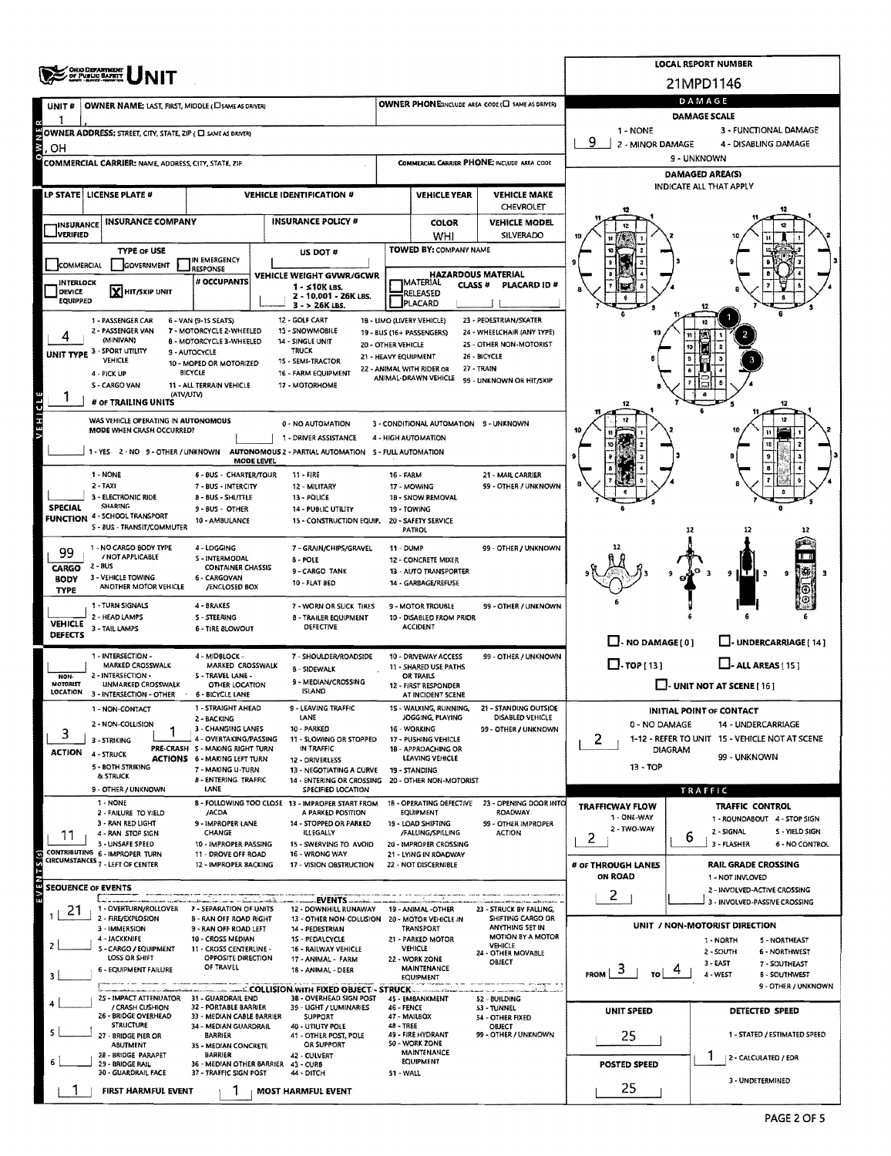| <b>OHIO DEPARTMENT</b>                                                                                           |                                                                                                                             |                                                                                                                   |                                            |                                                         |                                                               | <b>LOCAL REPORT NUMBER</b>                                                       |                                                                |  |  |
|------------------------------------------------------------------------------------------------------------------|-----------------------------------------------------------------------------------------------------------------------------|-------------------------------------------------------------------------------------------------------------------|--------------------------------------------|---------------------------------------------------------|---------------------------------------------------------------|----------------------------------------------------------------------------------|----------------------------------------------------------------|--|--|
| OF PUBLIC BAFKIT                                                                                                 |                                                                                                                             |                                                                                                                   |                                            |                                                         |                                                               | 21MPD1146                                                                        |                                                                |  |  |
| OWNER PHONE:INCLUDE AREA CODE (U SAME AS DRIVER)<br>OWNER NAME: LAST, FIRST, MIDDLE (C) SAME AS DRIVER)<br>UNIT# |                                                                                                                             |                                                                                                                   |                                            |                                                         |                                                               | DAMAGE<br>DAMAGE SCALE                                                           |                                                                |  |  |
| OWNER ADDRESS: STREET, CITY, STATE, ZIP ( C SAME AS DRIVER)                                                      |                                                                                                                             |                                                                                                                   |                                            |                                                         |                                                               | 1 - NONE<br>3 - FUNCTIONAL DAMAGE                                                |                                                                |  |  |
| OН                                                                                                               |                                                                                                                             | 9<br>2 - MINOR DAMAGE                                                                                             | 4 - DISABLING DAMAGE                       |                                                         |                                                               |                                                                                  |                                                                |  |  |
| COMMERCIAL CARRIER PHONE: INCLUDE AREA CODE<br><b>COMMERCIAL CARRIER: NAME, ADDRESS, CITY, STATE, ZIP</b>        |                                                                                                                             |                                                                                                                   |                                            |                                                         |                                                               | 9 - UNKNOWN                                                                      |                                                                |  |  |
|                                                                                                                  |                                                                                                                             |                                                                                                                   |                                            |                                                         |                                                               | <b>DAMAGED AREA(S)</b><br>INDICATE ALL THAT APPLY                                |                                                                |  |  |
| LP STATE   LICENSE PLATE #<br><b>VEHICLE IDENTIFICATION #</b><br><b>VEHICLE YEAR</b>                             |                                                                                                                             |                                                                                                                   |                                            | <b>VEHICLE MAKE</b><br>CHEVROLET                        |                                                               |                                                                                  |                                                                |  |  |
| <b>INSURANCE COMPANY</b><br><b>INSURANCE</b>                                                                     |                                                                                                                             | <b>INSURANCE POLICY #</b>                                                                                         |                                            | <b>COLOR</b>                                            | <b>VEHICLE MODEL</b>                                          |                                                                                  |                                                                |  |  |
| <b>JVERIFIED</b>                                                                                                 |                                                                                                                             |                                                                                                                   |                                            | WHI                                                     | SILVERADO                                                     |                                                                                  |                                                                |  |  |
| <b>TYPE OF USE</b><br>COMMERCIAL<br>GOVERNMENT                                                                   | IN EMERGENCY                                                                                                                | US DOT #                                                                                                          |                                            | TOWED BY: COMPANY NAME                                  |                                                               |                                                                                  |                                                                |  |  |
| <b>INTERLOCK</b>                                                                                                 | <b>RESPONSE</b><br># OCCUPANTS                                                                                              | VEHICLE WEIGHT GVWR/GCWR                                                                                          |                                            | <b>HAZARDOUS MATERIAL</b><br>JMATERIAL<br><b>CLASS#</b> | PLACARD ID#                                                   |                                                                                  |                                                                |  |  |
| <b>X HIT/SKIP UNIT</b><br>DEVICE<br>EQUIPPED                                                                     |                                                                                                                             | 1 - ≤10K LBS.<br>2 - 10.001 - 26K LBS.                                                                            |                                            | RELEASED                                                |                                                               |                                                                                  |                                                                |  |  |
| 1 - PASSENGER CAR                                                                                                | PLACARD<br>3 - > 26K LBS.<br>12 - GOLF CART<br>18 - LIMO (LIVERY VEHICLE)<br>23 - PEDESTRIAN/SKATER<br>6 - VAN (9-15 SEATS) |                                                                                                                   |                                            |                                                         |                                                               |                                                                                  |                                                                |  |  |
| 2 - PASSENGER VAN<br>(MINIVAN)                                                                                   | 7 - MOTORCYCLE 2-WHEELED<br>8 - MOTORCYCLE 3-WHEELED                                                                        | 13 - SNOWMOBILE<br>14 - SINGLE UNIT                                                                               |                                            | 19 - BUS (16+ PASSENGERS)                               | 24 - WHEELCHAIR (ANY TYPE)                                    |                                                                                  |                                                                |  |  |
| - SPORT UTILITY<br>UNIT TYPE <sup>3</sup><br><b>VEHICLE</b>                                                      | 9 - AUTOCYCLE                                                                                                               | <b>TRUCK</b><br>15 - SEMI-TRACTOR                                                                                 | 20 - OTHER VEHICLE<br>21 - HEAVY EQUIPMENT |                                                         | 25 - OTHER NON-MOTORIST<br>26 - BICYCLE                       |                                                                                  |                                                                |  |  |
| 4 - PICK UP                                                                                                      | 10 - MOPED OR MOTORIZED<br>BICYCLE                                                                                          | 16 - FARM EQUIPMENT                                                                                               |                                            | 22 - ANIMAL WITH RIDER OR<br>ANIMAL-DRAWN VEHICLE       | 27 - TRAIN                                                    |                                                                                  |                                                                |  |  |
| S - CARGO VAN                                                                                                    | 11 - ALL TERRAIN VEHICLE<br>(ATV/UTV)                                                                                       | 17 - MOTORHOME                                                                                                    |                                            |                                                         | 99 - UNKNOWN OR HIT/SKIP                                      |                                                                                  |                                                                |  |  |
| # or TRAILING UNITS                                                                                              |                                                                                                                             |                                                                                                                   |                                            |                                                         |                                                               |                                                                                  |                                                                |  |  |
| VEHICLE<br>WAS VEHICLE OPERATING IN AUTONOMOUS<br>MODE WHEN CRASH OCCURRED?                                      |                                                                                                                             | 0 - NO AUTOMATION                                                                                                 |                                            | 3 - CONDITIONAL AUTOMATION 9 - UNKNOWN                  |                                                               |                                                                                  |                                                                |  |  |
|                                                                                                                  |                                                                                                                             | 1 - DRIVER ASSISTANCE<br>1 - YES 2 - NO 9 - OTHER / UNKNOWN AUTONOMOUS 2 - PARTIAL AUTOMATION 5 - FULL AUTOMATION |                                            | 4 - HIGH AUTOMATION                                     |                                                               |                                                                                  |                                                                |  |  |
|                                                                                                                  | <b>MODE LEVEL</b>                                                                                                           |                                                                                                                   |                                            |                                                         |                                                               |                                                                                  |                                                                |  |  |
| 1 - NONE<br>$2 - TAXI$                                                                                           | <b>6 - BUS - CHARTER/TOUR</b><br>7 - BUS - INTERCITY                                                                        | 11 - FIRE<br>12 - MILITARY                                                                                        | 16 - FARM                                  | 17 - MOWING                                             | 21 - MAIL CARRIER<br>99 - OTHER / UNKNOWN                     |                                                                                  |                                                                |  |  |
| 3 - ELECTRONIC RIDE<br><b>SHARING</b><br><b>SPECIAL</b>                                                          | <b>B-BUS-SHUTTLE</b><br>9 - BUS - OTHER                                                                                     | 13 - POLICE<br><b>14 - PUBLIC UTILITY</b>                                                                         | 19 - TOWING                                | 1B - SNOW REMOVAL                                       |                                                               |                                                                                  |                                                                |  |  |
| 4 - SCHOOL TRANSPORT<br><b>FUNCTION</b><br>5 - BUS - TRANSIT/COMMUTER                                            | 10 - AMBULANCE                                                                                                              | 15 - CONSTRUCTION EQUIP.                                                                                          |                                            | 20 - SAFETY SERVICE<br>PATROL                           |                                                               |                                                                                  |                                                                |  |  |
| 1 - NO CARGO BODY TYPE                                                                                           | 4 - LOGGING                                                                                                                 | 7 - GRAIN/CHIPS/GRAVEL                                                                                            | <b>11 - DUMP</b>                           |                                                         | 99 - OTHER / UNKNOWN                                          |                                                                                  | 12                                                             |  |  |
| 99<br>/ NOT APPLICABLE<br>2 - 8US                                                                                | S - INTERMODAL                                                                                                              | 8 - POLE                                                                                                          |                                            | 12 - CONCRETE MIXER                                     |                                                               |                                                                                  |                                                                |  |  |
| CARGO<br>3 - VEHICLE TOWING<br><b>BODY</b>                                                                       | <b>CONTAINER CHASSIS</b><br>6 - CARGOVAN                                                                                    | 9 - CARGO TANK<br><b>10 - FLAT BED</b>                                                                            |                                            | 13 - AUTO TRANSPORTER<br>14 - GARBAGE/REFUSE            |                                                               |                                                                                  | g                                                              |  |  |
| ANOTHER MOTOR VEHICLE<br><b>TYPE</b>                                                                             | /ENCLOSED BOX                                                                                                               |                                                                                                                   |                                            |                                                         |                                                               |                                                                                  |                                                                |  |  |
| 1 - TURN SIGNALS<br>2 - HEAD LAMPS<br><b>VEHICLE</b>                                                             | 4 BRAKES<br>S - STEERING                                                                                                    | 7 - WORN OR SLICK TIRES<br>8 - TRAILER EQUIPMENT                                                                  |                                            | 9 - MOTOR TROUSLE<br>10 - DISABLED FROM PRIOR           | 99 - OTHER / UNKNOWN                                          |                                                                                  |                                                                |  |  |
| 3 - TAIL LAMPS<br><b>DEFECTS</b>                                                                                 | 6 - TIRE 8LOWOUT                                                                                                            | <b>DEFECTIVE</b>                                                                                                  |                                            | <b>ACCIDENT</b>                                         |                                                               | $\Box$ - NO DAMAGE(0)                                                            | J- UNDERCARRIAGE [ 14 ]                                        |  |  |
| 1 - INTERSECTION -                                                                                               | 4 - MIDBLOCK -                                                                                                              | 7 - SHOULDER/ROADSIDE                                                                                             |                                            | 10 - DRIVEWAY ACCESS                                    | 99 - OTHER / UNKNOWN                                          |                                                                                  |                                                                |  |  |
| MARKED CROSSWALK<br>2 - INTERSECTION -<br>NON-                                                                   | MARKED CROSSWALK<br>S - TRAVEL LANE -                                                                                       | 8 - SIDEWALK                                                                                                      |                                            | 11 - SHARED USE PATHS<br>OR TRAILS                      |                                                               | $\Box$ -TOP(13)                                                                  | $\Box$ - ALL AREAS [15]                                        |  |  |
| <b>MOTORIST</b><br><b>UNMARKED CROSSWALK</b><br>LOCATION<br>3 - INTERSECTION - OTHER                             | OTHER LOCATION<br><b>6 - BICYCLE LANE</b>                                                                                   | 9 - MEDIAN/CROSSING<br><b>ISLAND</b>                                                                              |                                            | 12 - FIRST RESPONDER<br>AT INCIDENT SCENE               |                                                               |                                                                                  | $\Box$ - UNIT NOT AT SCENE [16]                                |  |  |
| 1 - NON-CONTACT                                                                                                  | 1 - STRAIGHT AHEAD<br>2 - BACKING                                                                                           | 9 - LEAVING TRAFFIC<br>LANE                                                                                       |                                            | 15 - WALKING, RUNNING,<br>JOGGING, PLAYING              | 21 - STANDING OUTSIDE<br>DISABLED VEHICLE                     |                                                                                  | INITIAL POINT OF CONTACT                                       |  |  |
| 2 - NON-COLLISION<br>з                                                                                           | 3 - CHANGING LANES                                                                                                          | 10 - PARKED                                                                                                       |                                            | 16 - WORKING                                            | 99 - OTHER / UNKNOWN                                          | 0 - NO DAMAGE<br>14 - UNDERCARRIAGE                                              |                                                                |  |  |
| 3 - STRIKING<br><b>ACTION</b><br>4 - STRUCK                                                                      | 4 - OVERTAKING/PASSING<br>PRE-CRASH S - MAKING RIGHT TURN                                                                   | 11 - SLOWING OR STOPPED<br>IN TRAFFIC                                                                             |                                            | 17 - PUSHING VEHICLE<br>18 - APPROACHING OR             |                                                               | $\mathbf{2}$<br>1-12 - REFER TO UNIT 15 - VEHICLE NOT AT SCENE<br><b>DIAGRAM</b> |                                                                |  |  |
| 5 - BOTH STRIKING                                                                                                | <b>ACTIONS 6 - MAKING LEFT TURN</b><br>7 - MAKING U-TURN                                                                    | 12 - DRIVERLESS<br>13 - NEGOTIATING A CURVE                                                                       |                                            | LEAVING VEHICLE<br>19 - STANDING                        |                                                               | 99 - UNKNOWN<br>$13 - TOP$                                                       |                                                                |  |  |
| & STRUCK<br>9 - OTHER / UNKNOWN                                                                                  | 8 - ENTERING TRAFFIC<br>LANE                                                                                                | 14 - ENTERING OR CROSSING<br>SPECIFIED LOCATION                                                                   |                                            | 20 - OTHER NON-MOTORIST                                 |                                                               |                                                                                  | TRAFFIC                                                        |  |  |
| 1 - NONE<br>2 - FAILURE TO YIELD                                                                                 | /ACDA                                                                                                                       | B - FOLLOWING TOO CLOSE 13 - IMPROPER START FROM<br>A PARKED POSITION                                             |                                            | 18 - OPERATING DEFECTIVE<br><b>EQUIPMENT</b>            | 23 OPENING DOOR INTO<br>ROADWAY                               | <b>TRAFFICWAY FLOW</b>                                                           | TRAFFIC CONTROL                                                |  |  |
| 3 - RAN RED LIGHT                                                                                                | 9 - IMPROPER LANE                                                                                                           | 14 - STOPPED OR PARKED                                                                                            |                                            | 19 - LOAD SHIFTING                                      | 99 - OTHER IMPROPER                                           | 1 - ONE-WAY<br>2 - TWO-WAY                                                       | 1 - ROUNDABOUT 4 - STOP SIGN<br>2 - SIGNAL<br>S - YIELD SIGN   |  |  |
| 4 - RAN STOP SIGN<br>11<br>5 - UNSAFE SPEED                                                                      | CHANGE<br>10 - IMPROPER PASSING                                                                                             | <b>ILLEGALLY</b><br>15 - SWERVING TO AVOID                                                                        |                                            | /FALLING/SPILLING<br>20 - IMPROPER CROSSING             | <b>ACTION</b>                                                 | 2                                                                                | 6<br>3 - FLASHER<br>6 - NO CONTROL                             |  |  |
| CONTRIBUTING 6 - IMPROPER TURN<br>CIRCUMSTANCES <sub>7</sub> - LEFT OF CENTER                                    | 11 - DROVE OFF ROAD<br>12 - IMPROPER BACKING                                                                                | 16 - WRONG WAY<br>17 - VISION OBSTRUCTION                                                                         |                                            | 21 - LYING IN ROADWAY<br>22 - NOT DISCERNIBLE           |                                                               | # or THROUGH LANES                                                               | <b>RAIL GRADE CROSSING</b>                                     |  |  |
| ENTS(s)<br>SEQUENCE OF EVENTS                                                                                    |                                                                                                                             |                                                                                                                   |                                            |                                                         |                                                               | ON ROAD                                                                          | 1 - NOT INVLOVED                                               |  |  |
| $\sum_{i=1}^{n}$                                                                                                 |                                                                                                                             | EVENTS                                                                                                            |                                            |                                                         |                                                               | $\overline{2}$                                                                   | 2 - INVOLVED-ACTIVE CROSSING<br>3 - INVOLVED-PASSIVE CROSSING  |  |  |
| 21<br>2 - FIRE/EXPLOSION                                                                                         | 1 - OVERTURN/ROLLOVER 7 - SEPARATION OF UNITS<br><b>8 - RAN OFF ROAD RIGHT</b>                                              | 12 - DOWNHILL RUNAWAY<br>13 - OTHER NON-COLLISION                                                                 |                                            | 19 - ANIMAL -OTHER<br>20 - MOTOR VEHICLE IN             | 23 - STRUCK BY FALLING,<br>SHIFTING CARGO OR                  |                                                                                  | UNIT / NON-MOTORIST DIRECTION                                  |  |  |
| 3 - IMMERSION<br>4 - JACKKNIFE                                                                                   | 9 - RAN OFF ROAD LEFT<br>10 - CROSS MEDIAN                                                                                  | 14 - PEDESTRIAN<br>15 - PEDALCYCLE                                                                                |                                            | TRANSPORT<br>21 - PARKED MOTOR                          | ANYTHING SET IN<br><b>MOTION BY A MOTOR</b><br><b>VEHICLE</b> |                                                                                  | 1 - NORTH<br>5 - NORTHEAST                                     |  |  |
| 2<br>5 - CARGO / EQUIPMENT<br>LOSS OR SHIFT                                                                      | 11 - CROSS CENTERLINE -<br>OPPOSITE DIRECTION                                                                               | 16 - RAILWAY VEHICLE<br>17 - ANIMAL - FARM                                                                        |                                            | VEHICLE<br>22 - WORK ZONE                               | 24 - OTHER MOVABLE<br>OBJECT                                  |                                                                                  | 2 - SOUTH<br><b>6 - NORTHWEST</b><br>3 - EAST<br>7 - SOUTHEAST |  |  |
| 6 - EQUIPMENT FAILURE<br>з                                                                                       | OF TRAVEL                                                                                                                   | 18 - ANIMAL - DEER                                                                                                |                                            | MAINTENANCE<br><b>EQUIPMENT</b>                         |                                                               | 3<br><b>FROM</b><br>TO I                                                         | 4 - WEST<br><b>B - SOUTHWEST</b>                               |  |  |
| 25 - IMPACT ATTENUATOR                                                                                           | 31 - GUARDRAIL END                                                                                                          | COLLISION WITH FIXED OBJECT - STRUCK-<br>38 - OVERHEAD SIGN POST                                                  |                                            | 45 - EMBANKMENT                                         | بمساولت للمستدم<br>52 - BUILDING                              |                                                                                  | 9 - OTHER / UNKNOWN                                            |  |  |
| / CRASH CUSHION<br>26 - BRIDGE OVERHEAD                                                                          | 32 - PORTABLE BARRIER<br>33 - MEDIAN CABLE BARRIER                                                                          | 39 - UGHT / LUMINARIES<br><b>SUPPORT</b>                                                                          | 46 - FENCE<br>47 - MAILBOX                 |                                                         | 53 - TUNNEL<br>54 - OTHER FIXED                               | UNIT SPEED                                                                       | DETECTED SPEED                                                 |  |  |
| <b>STRUCTURE</b><br>27 - BRIDGE PIER OR                                                                          | 34 - MEDIAN GUARDRAIL<br>BARRIER                                                                                            | 40 - UTILITY POLE<br>41 - OTHER POST, POLE                                                                        | 48 - TREE                                  | 49 - FIRE HYDRANT                                       | OBJECT<br>99 - OTHER / UNKNOWN                                | 25                                                                               | 1 - STATED / ESTIMATED SPEED                                   |  |  |
| <b>ABUTMENT</b><br>28 - BRIDGE PARAPET                                                                           | 35 - MEDIAN CONCRETE<br><b>BARRIER</b>                                                                                      | OR SUPPORT<br>42 - CULVERT                                                                                        |                                            | 50 - WORK ZONE<br>MAINTENANCE                           |                                                               |                                                                                  | 2 - CALCULATED / EDR                                           |  |  |
| 29 - BRIDGE RAIL<br>30 - GUARDRAIL FACE                                                                          | 36 - MEDIAN OTHER BARRIER 43 - CURB<br>37 - TRAFFIC SIGN POST                                                               | 44 - DITCH                                                                                                        | 51 - WALL                                  | EQUIPMENT                                               |                                                               | <b>POSTED SPEED</b>                                                              |                                                                |  |  |
| FIRST HARMFUL EVENT                                                                                              |                                                                                                                             | <b>MOST HARMFUL EVENT</b>                                                                                         |                                            |                                                         |                                                               | 25                                                                               | 3 - UNDETERMINED                                               |  |  |
|                                                                                                                  |                                                                                                                             |                                                                                                                   |                                            |                                                         |                                                               |                                                                                  |                                                                |  |  |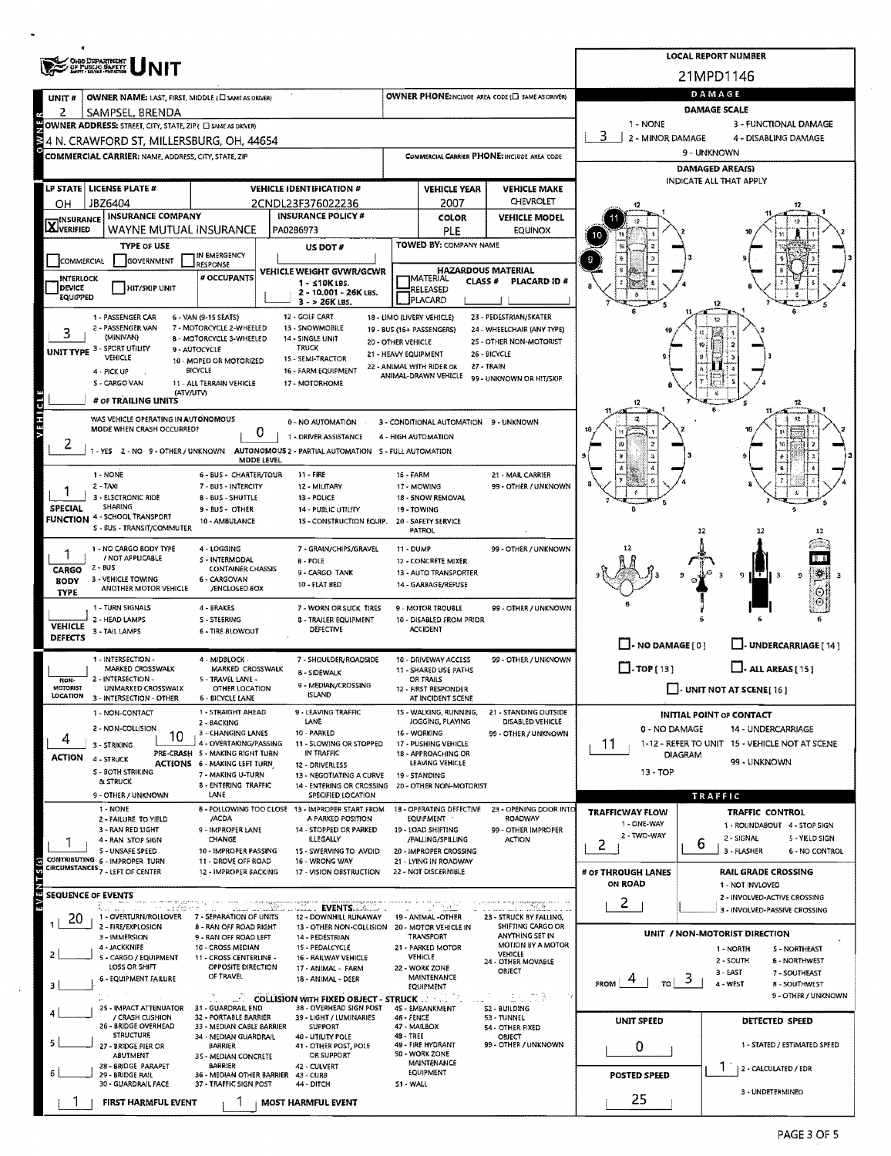|                                                               |                                                                                                                                                    |                                                           |                                                                                        |                                                                                |                                                               |                                                                     |                                      | <b>LOCAL REPORT NUMBER</b>                                     |  |  |
|---------------------------------------------------------------|----------------------------------------------------------------------------------------------------------------------------------------------------|-----------------------------------------------------------|----------------------------------------------------------------------------------------|--------------------------------------------------------------------------------|---------------------------------------------------------------|---------------------------------------------------------------------|--------------------------------------|----------------------------------------------------------------|--|--|
| OHO DEPARTMENT<br>GF PUBLIC BAFETY                            |                                                                                                                                                    |                                                           |                                                                                        |                                                                                |                                                               | 21MPD1146                                                           |                                      |                                                                |  |  |
| UNIT#                                                         | OWNER PHONE:INCLUDE AREA CODE (E) SAME AS DRIVER)<br>OWNER NAME: LAST, FIRST, MIDDLE (C) SAME AS DRIVER)                                           |                                                           |                                                                                        |                                                                                |                                                               |                                                                     | DAMAGE                               |                                                                |  |  |
| 2                                                             | SAMPSEL, BRENDA                                                                                                                                    |                                                           |                                                                                        |                                                                                |                                                               |                                                                     | DAMAGE SCALE                         |                                                                |  |  |
|                                                               | 1 - NONE<br>3 - FUNCTIONAL DAMAGE<br>OWNER ADDRESS: STREET, CITY, STATE, ZIP ( C) SAME AS DRIVERY<br>3<br>2 - MINOR DAMAGE<br>4 - DISABLING DAMAGE |                                                           |                                                                                        |                                                                                |                                                               |                                                                     |                                      |                                                                |  |  |
| 을 4 N. CRAWFORD ST, MILLERSBURG, OH, 44654                    |                                                                                                                                                    |                                                           |                                                                                        |                                                                                |                                                               | COMMERCIAL CARRIER PHONE: INCLUDE AREA CODE                         |                                      | 9 - UNKNOWN                                                    |  |  |
| COMMERCIAL CARRIER: NAME, ADDRESS, CITY, STATE, ZIP           |                                                                                                                                                    |                                                           |                                                                                        |                                                                                |                                                               |                                                                     | <b>DAMAGED AREA(S)</b>               |                                                                |  |  |
| LP STATE   LICENSE PLATE #<br><b>VEHICLE IDENTIFICATION #</b> |                                                                                                                                                    |                                                           | <b>VEHICLE YEAR</b><br><b>VEHICLE MAKE</b>                                             |                                                                                |                                                               |                                                                     | INDICATE ALL THAT APPLY              |                                                                |  |  |
| OН                                                            | JBZ6404                                                                                                                                            |                                                           | 2CNDL23F376022236                                                                      |                                                                                | 2007                                                          | CHEVROLET                                                           |                                      |                                                                |  |  |
| <b>INSURANCE</b>                                              | <b>INSURANCE COMPANY</b>                                                                                                                           |                                                           | <b>INSURANCE POLICY #</b>                                                              |                                                                                | <b>COLOR</b>                                                  | <b>VEHICLE MODEL</b>                                                |                                      |                                                                |  |  |
| <b>X</b> VERIFIED                                             | WAYNE MUTUAL INSURANCE                                                                                                                             |                                                           | PA0286973                                                                              |                                                                                | PLE                                                           | <b>EQUINOX</b>                                                      |                                      |                                                                |  |  |
| COMMERCIAL                                                    | <b>TYPE OF USE</b><br><b>GOVERNMENT</b>                                                                                                            | IN EMERGENCY                                              | US DOT#                                                                                |                                                                                | TOWED BY: COMPANY NAME                                        |                                                                     |                                      |                                                                |  |  |
| <b>INTERLOCK</b>                                              |                                                                                                                                                    | RESPONSE<br>VEHICLE WEIGHT GVWR/GCWR<br># OCCUPANTS       |                                                                                        | <b>HAZARDOUS MATERIAL</b><br><b>IMATERIAL</b><br><b>CLASS#</b><br>PLACARD ID # |                                                               |                                                                     |                                      |                                                                |  |  |
| DEVICE<br><b>EQUIPPED</b>                                     | <b>HIT/SKIP UNIT</b>                                                                                                                               |                                                           | $1 - 510$ K LBS.<br>2 - 10.001 - 26K LBS.                                              |                                                                                | RELEASED                                                      |                                                                     |                                      |                                                                |  |  |
|                                                               |                                                                                                                                                    |                                                           | 3 - > 26K LBS.                                                                         |                                                                                | PLACARD                                                       |                                                                     |                                      |                                                                |  |  |
|                                                               | 1 - PASSENGER CAR<br>2 - PASSENGER VAN                                                                                                             | 6 - VAN (9-15 SEATS)<br>7 - MOTORCYCLE 2-WHEELED          | 12 - GOLF CART<br>13 - SNOWMOBILE                                                      |                                                                                | 18 - LIMO (LIVERY VEHICLE)<br>19 - BUS (16+ PASSENGERS)       | 23 - PEDESTRIAN/SKATER<br>24 - WHEELCHAIR (ANY TYPE)                |                                      |                                                                |  |  |
| 3                                                             | (MINIVAN)<br>UNIT TYPE 3 - SPORT UTILITY                                                                                                           | 8 - MOTORCYCLE 3-WHEELED<br>9 - AUTOCYCLE                 | 14 - SINGLE UNIT<br><b>TRUCK</b>                                                       | 20 - OTHER VEHICLE                                                             |                                                               | 25 - OTHER NON-MOTORIST                                             |                                      |                                                                |  |  |
|                                                               | VEHICLE                                                                                                                                            | 10 - MOPED OR MOTORIZED                                   | 15 - SEMI-TRACTOR                                                                      | 21 - HEAVY EQUIPMENT                                                           | 22 - ANIMAL WITH RIDER OR                                     | 26 - BICYCLE<br>27 - TRAIN                                          |                                      |                                                                |  |  |
|                                                               | 4 - PICK UP<br>S - CARGO VAN                                                                                                                       | BICYCLE<br>11 - ALL TERRAIN VEHICLE                       | 16 - FARM EQUIPMENT<br>17 - MOTORHOME                                                  |                                                                                | ANIMAL-DRAWN VEHICLE                                          | 99 - UNKNOWN OR HIT/SKIP                                            |                                      |                                                                |  |  |
| ಕ                                                             | (ATV/UTV)<br># OF TRAILING UNITS                                                                                                                   |                                                           |                                                                                        |                                                                                |                                                               |                                                                     | 12                                   | 12                                                             |  |  |
| EHE                                                           | WAS VEHICLE OPERATING IN AUTONOMOUS                                                                                                                |                                                           |                                                                                        |                                                                                |                                                               |                                                                     |                                      |                                                                |  |  |
|                                                               | MODE WHEN CRASH OCCURRED?                                                                                                                          | 0                                                         | 0 - NO AUTOMATION<br>1 - DRIVER ASSISTANCE                                             |                                                                                | 3 - CONDITIONAL AUTOMATION 9 - UNKNOWN<br>4 - HIGH AUTOMATION |                                                                     |                                      |                                                                |  |  |
|                                                               |                                                                                                                                                    |                                                           | - YES 2 - NO 9 - OTHER / UNKNOWN AUTONOMOUS 2 - PARTIAL AUTOMATION 5 - FULL AUTOMATION |                                                                                |                                                               |                                                                     |                                      |                                                                |  |  |
|                                                               |                                                                                                                                                    | MODE LEVEL                                                | 11 - FIRE                                                                              |                                                                                |                                                               |                                                                     |                                      |                                                                |  |  |
|                                                               | 1 - NONE<br>2 - TAXI                                                                                                                               | 6 - BUS - CHARTER/TOUR<br>7 - BUS - INTERCITY             | 12 - MILITARY                                                                          | 16 - FARM                                                                      | 17 - MOWING                                                   | 21 - MAIL CARRIER<br>99 - OTHER / UNKNOWN                           |                                      |                                                                |  |  |
| <b>SPECIAL</b>                                                | 3 - ELECTRONIC RIDE<br>SHARING                                                                                                                     | 8 - BUS - SHUTTLE                                         | 13 - POLICE                                                                            |                                                                                | 18 - SNOW REMOVAL                                             |                                                                     |                                      | £                                                              |  |  |
| <b>FUNCTION</b>                                               | 4 - SCHOOL TRANSPORT                                                                                                                               | 9 - BUS - OTHER<br>10 - AMBULANCE                         | 14 - PUBLIC UTILITY<br>15 - CONSTRUCTION EQUIP.                                        |                                                                                | 19 - TOWING<br>20 - SAFETY SERVICE                            |                                                                     |                                      |                                                                |  |  |
|                                                               | S - BUS - TRANSIT/COMMUTER                                                                                                                         |                                                           |                                                                                        |                                                                                | <b>PATROL</b>                                                 |                                                                     |                                      | 12                                                             |  |  |
|                                                               | 1 - NO CARGO BODY TYPE<br>/ NOT APPLICABLE                                                                                                         | 4 - LOGGING<br>S - INTERMODAL                             | 7 - GRAIN/CHIPS/GRAVEL<br>8 - POLE                                                     | 11 - DUMP                                                                      | 12 - CONCRETE MIXER                                           | 99 - OTHER / UNKNOWN                                                |                                      |                                                                |  |  |
| CARGO                                                         | 2 - BUS<br>3 - VEHICLE TOWING                                                                                                                      | <b>CONTAINER CHASSIS</b><br>6 - CARGOVAN                  | 9 - CARGO TANK                                                                         |                                                                                | 13 - AUTO TRANSPORTER                                         |                                                                     |                                      | $\tau$ ii 3<br>o<br>Ð.                                         |  |  |
| <b>BODY</b><br><b>TYPE</b>                                    | ANOTHER MOTOR VEHICLE                                                                                                                              | <b>/ENCLOSED 80X</b>                                      | 10 - FLAT 8ED                                                                          |                                                                                | 14 - GARBAGE/REFUSE                                           |                                                                     |                                      |                                                                |  |  |
|                                                               | 1 - TURN SIGNALS                                                                                                                                   | 4 - BRAKES                                                | 7 - WORN OR SUCK TIRES                                                                 |                                                                                | 9 - MOTOR TROUBLE                                             | 99 - OTHER / UNKNOWN                                                |                                      |                                                                |  |  |
| <b>VEHICLE</b>                                                | 2 - HEAD LAMPS<br>3 - TAIL LAMPS                                                                                                                   | S - STEERING<br>6 - TIRE BLOWOUT                          | <b>8 - TRAILER EQUIPMENT</b><br>DEFECTIVE                                              |                                                                                | 10 - DISABLED FROM PRIOR<br><b>ACCIDENT</b>                   |                                                                     |                                      |                                                                |  |  |
| <b>DEFECTS</b>                                                |                                                                                                                                                    |                                                           |                                                                                        |                                                                                |                                                               |                                                                     | $\Box$ - NO DAMAGE $[0]$             | - UNDERCARRIAGE [ 14 ]                                         |  |  |
|                                                               | 1 - INTERSECTION -<br>MARKED CROSSWALK                                                                                                             | 4 - MIDBLOCK -<br>MARKED CROSSWALK                        | 7 - SHOULDER/ROADSIDE                                                                  |                                                                                | 10 - DRIVEWAY ACCESS<br>11 - SHARED USE PATHS                 | 99 - OTHER / UNKNOWN                                                | $\Box$ -TOP(13)                      | $\Box$ - ALL AREAS [ 15 ]                                      |  |  |
| NON-                                                          | 2 - INTERSECTION -                                                                                                                                 | 5 - TRAVEL LANE -                                         | <b>8 - SIDEWALK</b><br>9 - MEDIAN/CROSSING                                             |                                                                                | OR TRAILS                                                     |                                                                     |                                      |                                                                |  |  |
| <b>MOTORIST</b><br>LOCATION                                   | UNMARKED CROSSWALK<br>3 - INTERSECTION - OTHER                                                                                                     | OTHER LOCATION<br><b>6 - BICYCLE LANE</b>                 | <b>ISLAND</b>                                                                          |                                                                                | 12 - FIRST RESPONDER<br>AT INCIDENT SCENE                     |                                                                     |                                      | $\Box$ - UNIT NOT AT SCENE [16]                                |  |  |
|                                                               | 1 - NON-CONTACT                                                                                                                                    | 1 - STRAIGHT AHEAD<br>2 - BACKING                         | 9 - LEAVING TRAFFIC<br>LANE                                                            |                                                                                | 15 - WALKING, RUNNING,<br>JOGGING, PLAYING                    | 21 - STANDING OUTSIDE<br>DISABLED VEHICLE                           |                                      | <b>INITIAL POINT OF CONTACT</b>                                |  |  |
| 4                                                             | 2 - NON-COLLISION<br>10                                                                                                                            | 3 - CHANGING LANES                                        | 10 - PARKED                                                                            |                                                                                | 16 - WORKING                                                  | 99 - OTHER / UNKNOWN                                                | 0 - NO DAMAGE                        | 14 - UNDERCARRIAGE                                             |  |  |
| ACTION                                                        | 3 - STRIKING<br>4 - STRUCK                                                                                                                         | 4 - OVERTAKING/PASSING<br>PRE-CRASH 5 - MAKING RIGHT TURN | 11 - SLOWING OR STOPPED<br>IN TRAFFIC                                                  |                                                                                | 17 - PUSHING VEHICLE<br>18 - APPROACHING OR                   |                                                                     | 11<br><b>DIAGRAM</b>                 | 1-12 - REFER TO UNIT 15 - VEHICLE NOT AT SCENE                 |  |  |
|                                                               | S - BOTH STRIKING                                                                                                                                  | ACTIONS 6 - MAKING LEFT TURN<br>7 - MAKING U-TURN         | 12 - DRIVERLESS<br>13 - NEGOTIATING A CURVE                                            |                                                                                | LEAVING VEHICLE<br>19 - STANDING                              |                                                                     | 99 - UNKNOWN<br>$13 - TOP$           |                                                                |  |  |
|                                                               | & STRUCK                                                                                                                                           | 8 - ENTERING TRAFFIC                                      | 14 - ENTERING OR CROSSING 20 - OTHER NON-MOTORIST                                      |                                                                                |                                                               |                                                                     |                                      |                                                                |  |  |
|                                                               | 9 - OTHER / UNKNOWN<br>1 - NONE                                                                                                                    | LANE                                                      | SPECIFIED LOCATION<br>8 - FOLLOWING TOO CLOSE 13 - IMPROPER START FROM                 |                                                                                | 18 - OPERATING DEFECTIVE                                      | 23 - OPENING DOOR INTO                                              | <b>TRAFFICWAY FLOW</b>               | TRAFFIC<br>TRAFFIC CONTROL                                     |  |  |
|                                                               | 2 - FAILURE TO YIELD<br>3 - RAN RED LIGHT                                                                                                          | /ACDA<br>9 - IMPROPER LANE                                | A PARKED POSITION<br>14 - STOPPED OR PARKED                                            |                                                                                | EQUIPMENT<br>19 - LOAD SHIFTING                               | ROADWAY<br>99 - OTHER IMPROPER                                      | 1 - ONE WAY                          | 1 - ROUNDABOUT 4 - STOP SIGN                                   |  |  |
|                                                               | 4 - RAN STOP SIGN                                                                                                                                  | CHANGE                                                    | ILLEGALLY                                                                              |                                                                                | /FALLING/SPILLING                                             | <b>ACTION</b>                                                       | 2 - TWO-WAY<br>2                     | 2 - SIGNAL<br>5 - YIELD SIGN<br>6                              |  |  |
| Θ                                                             | S - UNSAFE SPEED<br>CONTRIBUTING 6 - IMPROPER TURN                                                                                                 | 10 - IMPROPER PASSING<br>11 - DROVE OFF ROAD              | 1S - SWERVING TO AVOID<br>16 - WRONG WAY                                               |                                                                                | 20 - IMPROPER CROSSING<br>21 - LYING IN ROADWAY               |                                                                     |                                      | 3 - FLASHER<br>6 - NO CONTROL                                  |  |  |
| <b>S</b>                                                      | CIRCUMSTANCES <sub>7</sub> - LEFT OF CENTER                                                                                                        | 12 - IMPROPER BACKING                                     | 17 - VISION OBSTRUCTION                                                                |                                                                                | 22 - NOT DISCERNIBLE                                          |                                                                     | # OF THROUGH LANES<br><b>ON ROAD</b> | <b>RAIL GRADE CROSSING</b>                                     |  |  |
| m,                                                            | <b>SEQUENCE OF EVENTS</b>                                                                                                                          |                                                           |                                                                                        |                                                                                |                                                               |                                                                     |                                      | 1 - NOT INVLOVED<br>2 - INVOLVED-ACTIVE CROSSING               |  |  |
| 20                                                            | ా ఒకవేళులా<br>\$2000 million<br>1 - OVERTURN/ROLLOVER 7 - SEPARATION OF UNITS                                                                      | alam katalumkan                                           | 거입했다<br><u>. Events A. .</u><br>12 - DOWNHILL RUNAWAY                                  |                                                                                | 74 TV 2871<br>19 - ANIMAL -OTHER                              | 23 - STRUCK BY FALLING.                                             | 2                                    | 3 - INVOLVED-PASSIVE CROSSING                                  |  |  |
|                                                               | 2 - FIRE/EXPLOSION<br>3 - IMMERSION                                                                                                                | 8 - RAN OFF ROAD RIGHT<br>9 - RAN OFF ROAD LEFT           | 13 - OTHER NON-COLLISION<br>14 - PEDESTRIAN                                            |                                                                                | 20 - MOTOR VEHICLE IN<br>TRANSPORT                            | SHIFTING CARGO OR<br><b>ANYTHING SET IN</b>                         |                                      | UNIT / NON-MOTORIST DIRECTION                                  |  |  |
| 2                                                             | 4 - JACKKNIFE                                                                                                                                      | 10 - CROSS MEDIAN                                         | 15 - PEDALCYCLE                                                                        |                                                                                | 21 - PARKED MOTOR                                             | MOTION BY A MOTOR<br><b>VEHICLE</b>                                 |                                      | 1 - NORTH<br>S - NORTHEAST                                     |  |  |
|                                                               | 5 - CARGO / EQUIPMENT<br>LOSS OR SHIFT                                                                                                             | 11 - CROSS CENTERLINE -<br>OPPOSITE DIRECTION             | 16 - RAILWAY VEHICLE<br>17 - ANIMAL - FARM                                             |                                                                                | <b>VEHICLE</b><br>22 - WORK ZONE                              | 24 - OTHER MOVABLE<br>OBJECT                                        |                                      | 2 - SOUTH<br><b>6 - NORTHWEST</b><br>3 - EAST<br>7 - SOUTHEAST |  |  |
|                                                               | 6 - EQUIPMENT FAILURE                                                                                                                              | OF TRAVEL                                                 | 18 - ANIMAL - DEER                                                                     |                                                                                | MAINTENANCE<br>EQUIPMENT                                      |                                                                     | э<br>TO<br><b>FROM</b>               | 4 - WEST<br>8 - SOUTHWEST                                      |  |  |
|                                                               | 25 - IMPACT ATTENUATOR                                                                                                                             | 31 - GUARDRAIL END                                        | <b>EXAMPLE COLLISION WITH FIXED OBJECT - STRUCK 32</b><br>38 - OVERHEAD SIGN POST      |                                                                                | 45 - EMBANKMENT                                               | $\mathbb{E} \times \mathbb{C} \times \mathbb{R}^n$<br>S2 - 8UILDING |                                      | 9 - OTHER / UNKNOWN                                            |  |  |
|                                                               | / CRASH CUSHION<br>26 - BRIDGE OVERHEAD                                                                                                            | 32 - PORTABLE BARRIER<br>33 - MEDIAN CABLE BARRIER        | 39 - LIGHT / LUMINARIES<br><b>SUPPORT</b>                                              | 46 - FENCE                                                                     | 47 - MAILBOX                                                  | 53 - TUNNEL                                                         | UNIT SPEED                           | DETECTED SPEED                                                 |  |  |
|                                                               | <b>STRUCTURE</b>                                                                                                                                   | 34 - MEDIAN GUARDRAIL                                     | 40 - UTILITY POLE                                                                      | 48 - TREE                                                                      |                                                               | 54 - OTHER FIXED<br>OBJECT                                          |                                      |                                                                |  |  |
|                                                               | 27 - BRIDGE PIER OR<br>ABUTMENT                                                                                                                    | <b>BARRIER</b><br>35 - MEDIAN CONCRETE                    | 41 - OTHER POST, POLE<br>OR SUPPORT                                                    |                                                                                | 49 - FIRE HYDRANT<br>SO - WORK ZONE                           | 99 - OTHER / UNKNOWN                                                | 0                                    | 1 - STATED / ESTIMATED SPEED                                   |  |  |
|                                                               | 28 - BRIDGE PARAPET<br>29 - BRIDGE RAIL                                                                                                            | <b>BARRIER</b><br>36 - MEDIAN OTHER BARRIER               | 42 - CULVERT<br>43 - CURB                                                              |                                                                                | MAINTENANCE<br><b>EQUIPMENT</b>                               |                                                                     | <b>POSTED SPEED</b>                  | 2 - CALCULATED / EDR                                           |  |  |
|                                                               | 30 - GUARDRAIL FACE                                                                                                                                | 37 - TRAFFIC SIGN POST                                    | 44 - DITCH                                                                             | S1 - WALL                                                                      |                                                               |                                                                     |                                      | 3 - UNDETERMINED                                               |  |  |
|                                                               | FIRST HARMFUL EVENT                                                                                                                                |                                                           | <b>MOST HARMFUL EVENT</b>                                                              |                                                                                |                                                               |                                                                     | 25                                   |                                                                |  |  |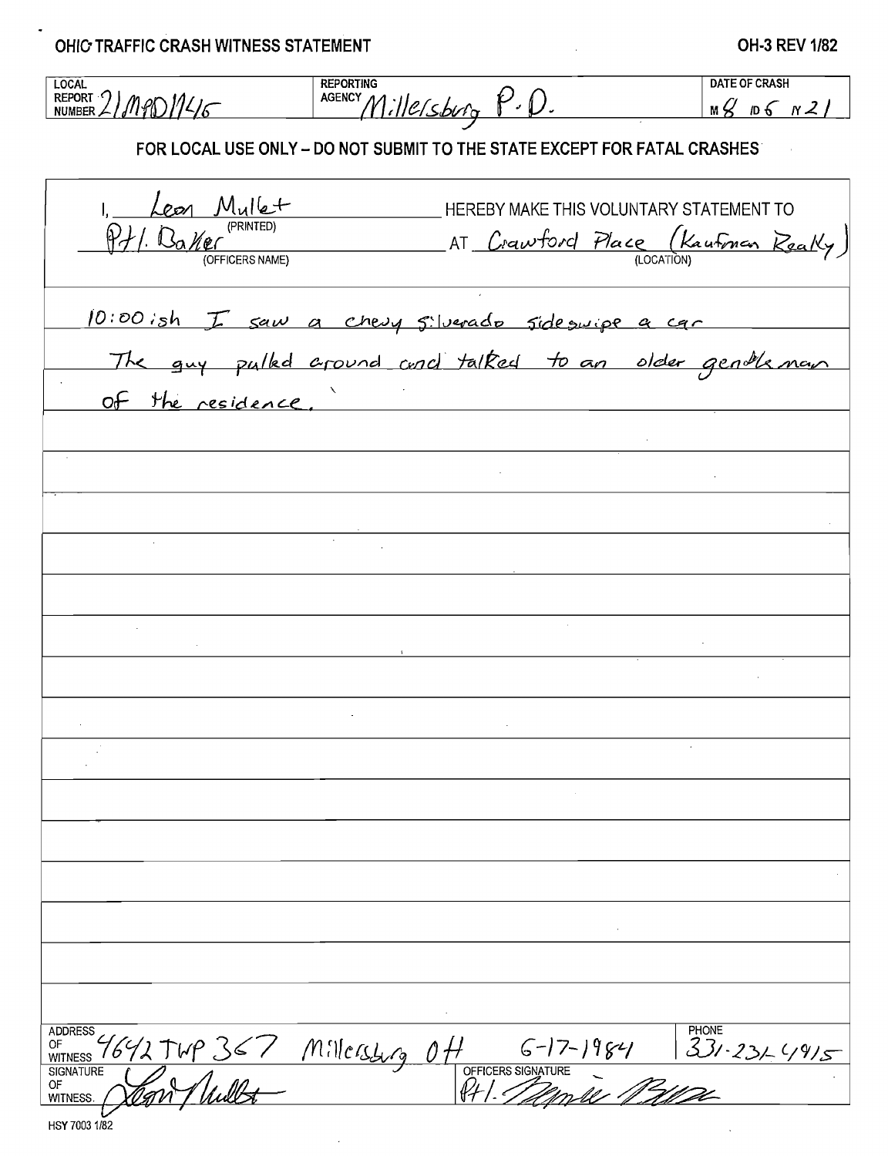OHIC TRAFFIC CRASH WITNESS STATEMENT

## **OH-3 REV 1/82**

 $\mathcal{A}^{\mathcal{A}}$ 

 $\bar{z}$ 

| <b>LOCAL</b>                                                                     | <b>REPORTING</b>                                                            | <b>DATE OF CRASH</b> |  |  |  |  |  |
|----------------------------------------------------------------------------------|-----------------------------------------------------------------------------|----------------------|--|--|--|--|--|
| REPORT 2/MPD114/6                                                                | AGENCY Millersburg P.D.                                                     | $mg$ D6 N2/          |  |  |  |  |  |
| FOR LOCAL USE ONLY - DO NOT SUBMIT TO THE STATE EXCEPT FOR FATAL CRASHES         |                                                                             |                      |  |  |  |  |  |
|                                                                                  | HEREBY MAKE THIS VOLUNTARY STATEMENT TO                                     |                      |  |  |  |  |  |
| $\frac{L_{\text{COM}} M_{\text{U}}/L +}{P_{\text{V}}/R_{\text{M}}/P_{\text{C}}}$ | AT Crawford Place (Kautman Really)                                          |                      |  |  |  |  |  |
|                                                                                  | 10:00:sh I saw a chesy silverado side suipe a car                           |                      |  |  |  |  |  |
|                                                                                  | The guy pulke around and talked to an older gentleman                       |                      |  |  |  |  |  |
| of the residence.                                                                |                                                                             |                      |  |  |  |  |  |
|                                                                                  |                                                                             |                      |  |  |  |  |  |
|                                                                                  |                                                                             |                      |  |  |  |  |  |
|                                                                                  | $\sim$                                                                      |                      |  |  |  |  |  |
|                                                                                  |                                                                             |                      |  |  |  |  |  |
|                                                                                  |                                                                             |                      |  |  |  |  |  |
|                                                                                  |                                                                             |                      |  |  |  |  |  |
|                                                                                  |                                                                             |                      |  |  |  |  |  |
|                                                                                  |                                                                             |                      |  |  |  |  |  |
|                                                                                  |                                                                             |                      |  |  |  |  |  |
|                                                                                  |                                                                             |                      |  |  |  |  |  |
|                                                                                  |                                                                             |                      |  |  |  |  |  |
|                                                                                  |                                                                             |                      |  |  |  |  |  |
| <b>ADDRESS</b>                                                                   |                                                                             | PHONE                |  |  |  |  |  |
| $\frac{4642749367}{80}$<br>OF<br>WITNESS<br><b>SIGNATURE</b><br>ОF               | 1 6-17-1984 331-231-4915<br>OFFICERS SIGNATURE<br>PHI. <i>Talimule 1310</i> |                      |  |  |  |  |  |
| <b>WITNESS</b>                                                                   |                                                                             |                      |  |  |  |  |  |

 $\hat{\mathcal{L}}$